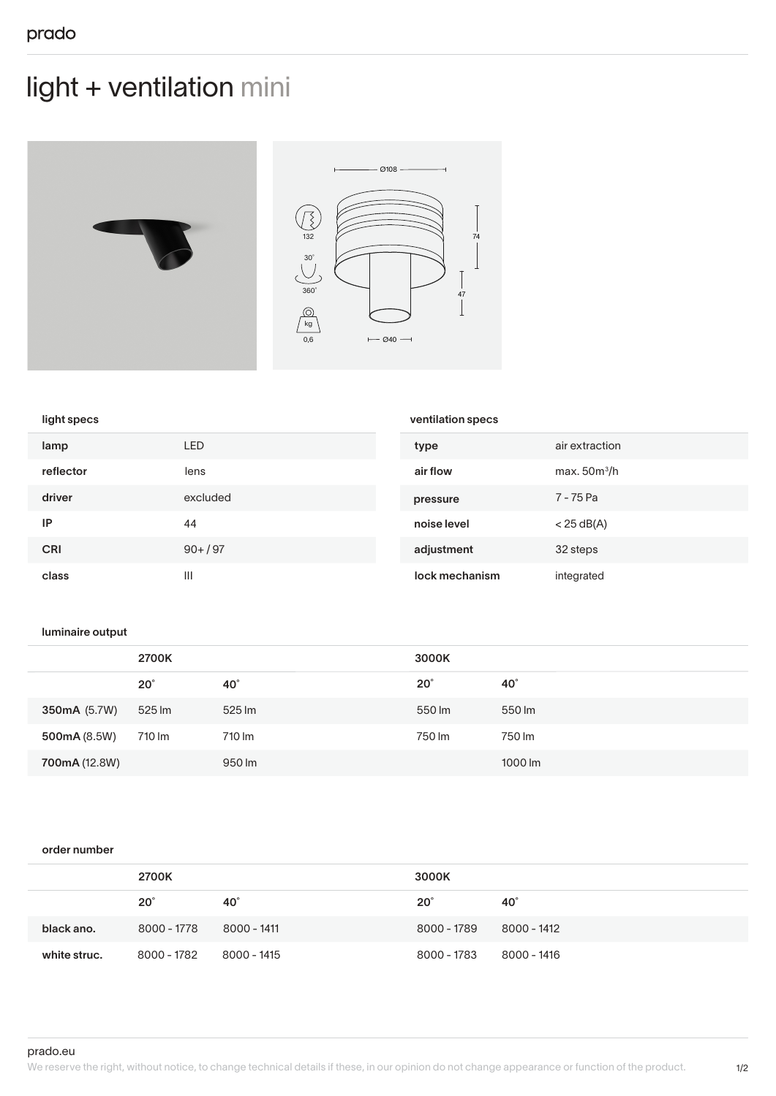# light + ventilation mini





## light specs

| lamp       | LED        | type           | air extraction |
|------------|------------|----------------|----------------|
| reflector  | lens       | air flow       | max. $50m^3/h$ |
| driver     | excluded   | pressure       | 7 - 75 Pa      |
| IP         | 44         | noise level    | $<$ 25 dB(A)   |
| <b>CRI</b> | $90+ / 97$ | adjustment     | 32 steps       |
| class      | Ш          | lock mechanism | integrated     |

ventilation specs

#### luminaire output

|                      | 2700K      |        | 3000K      |         |
|----------------------|------------|--------|------------|---------|
|                      | $20^\circ$ | 40°    | $20^\circ$ | 40°     |
| 350mA (5.7W)         | 525 lm     | 525 lm | 550 lm     | 550 lm  |
| <b>500mA</b> (8.5W)  | 710 lm     | 710 lm | 750 lm     | 750 lm  |
| <b>700mA</b> (12.8W) |            | 950 lm |            | 1000 lm |

#### order number

|              | 2700K       |             | 3000K       |             |
|--------------|-------------|-------------|-------------|-------------|
|              | $20^\circ$  | 40°         | $20^\circ$  | 40°         |
| black ano.   | 8000 - 1778 | 8000 - 1411 | 8000 - 1789 | 8000 - 1412 |
| white struc. | 8000 - 1782 | 8000 - 1415 | 8000 - 1783 | 8000 - 1416 |

prado.eu